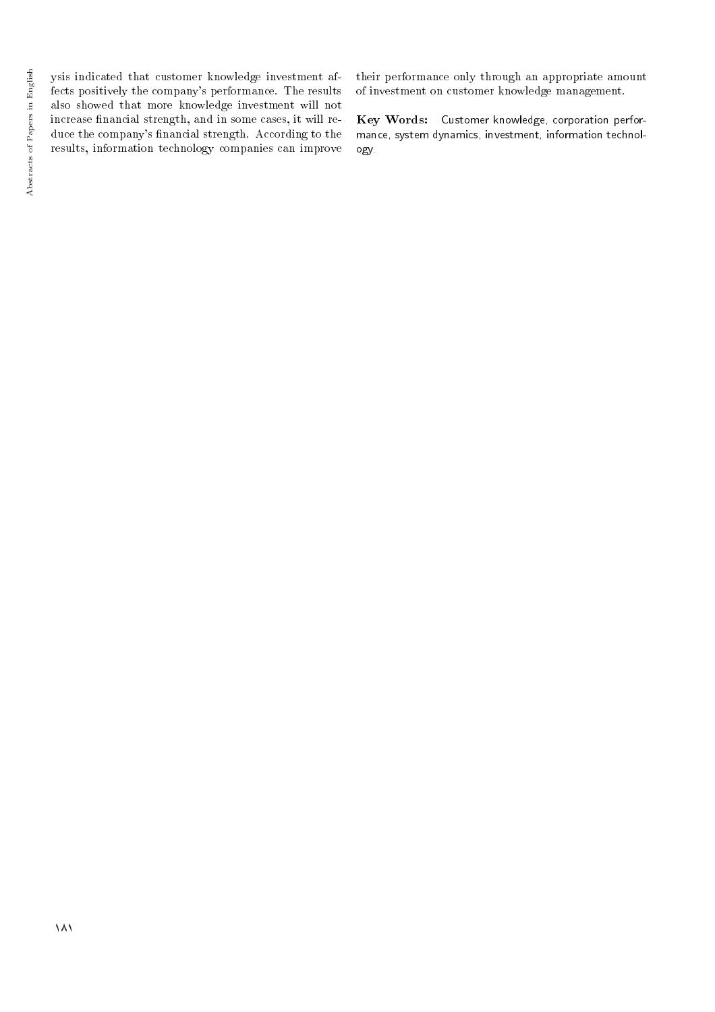ysis indicated that customer knowledge investment affects positively the company's performance. The results also showed that more knowledge investment will not increase nancial strength, and in some cases, it will reduce the company's financial strength. According to the results, information technology companies can improve

their performance only through an appropriate amount of investment on customer knowledge management.

Key Words: Customer knowledge, corporation performance, system dynamics, investment, information technology.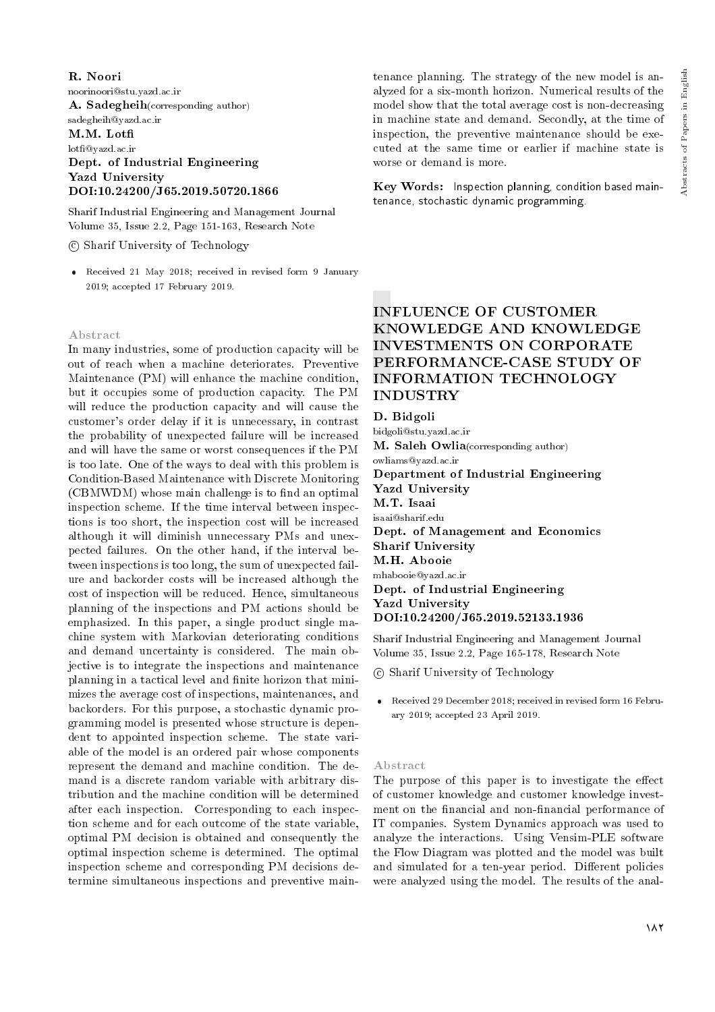Abstracts of Papers in English Abstracts of Papers in English

R. Noori noorinoori@stu.yazd.ac.ir A. Sadegheih(corresponding author) sadegheih@yazd.ac.ir M.M. Lot lot@yazd.ac.ir Dept. of Industrial Engineering Yazd University DOI:10.24200/J65.2019.50720.1866

Sharif Industrial Engineering and Management Journal Volume 35, Issue 2.2, Page 151-163, Research Note

c Sharif University of Technology

 Received 21 May 2018; received in revised form 9 January 2019; accepted 17 February 2019.

#### Abstract

In many industries, some of production capacity will be out of reach when a machine deteriorates. Preventive Maintenance (PM) will enhance the machine condition, but it occupies some of production capacity. The PM will reduce the production capacity and will cause the customer's order delay if it is unnecessary, in contrast the probability of unexpected failure will be increased and will have the same or worst consequences if the PM is too late. One of the ways to deal with this problem is Condition-Based Maintenance with Discrete Monitoring (CBMWDM) whose main challenge is to find an optimal inspection scheme. If the time interval between inspections is too short, the inspection cost will be increased although it will diminish unnecessary PMs and unexpected failures. On the other hand, if the interval between inspections is too long, the sum of unexpected failure and backorder costs will be increased although the cost of inspection will be reduced. Hence, simultaneous planning of the inspections and PM actions should be emphasized. In this paper, a single product single machine system with Markovian deteriorating conditions and demand uncertainty is considered. The main objective is to integrate the inspections and maintenance planning in a tactical level and finite horizon that minimizes the average cost of inspections, maintenances, and backorders. For this purpose, a stochastic dynamic programming model is presented whose structure is dependent to appointed inspection scheme. The state variable of the model is an ordered pair whose components represent the demand and machine condition. The demand is a discrete random variable with arbitrary distribution and the machine condition will be determined after each inspection. Corresponding to each inspection scheme and for each outcome of the state variable, optimal PM decision is obtained and consequently the optimal inspection scheme is determined. The optimal inspection scheme and corresponding PM decisions determine simultaneous inspections and preventive maintenance planning. The strategy of the new model is analyzed for a six-month horizon. Numerical results of the model show that the total average cost is non-decreasing in machine state and demand. Secondly, at the time of inspection, the preventive maintenance should be executed at the same time or earlier if machine state is worse or demand is more.

Key Words: Inspection planning, condition based maintenance, stochastic dynamic programming.

## INFLUENCE OF CUSTOMER KNOWLEDGE AND KNOWLEDGE INVESTMENTS ON CORPORATE PERFORMANCE-CASE STUDY OF INFORMATION TECHNOLOGY INDUSTRY

D. Bidgoli

bidgoli@stu.yazd.ac.ir

M. Saleh Owlia(corresponding author)

owliams@yazd.ac.ir

Department of Industrial Engineering Yazd University M.T. Isaai isaai@sharif.edu Dept. of Management and Economics Sharif University M.H. Abooie mhabooie@yazd.ac.ir Dept. of Industrial Engineering Yazd University

DOI:10.24200/J65.2019.52133.1936

Sharif Industrial Engineering and Management Journal Volume 35, Issue 2.2, Page 165-178, Research Note

c Sharif University of Technology

 Received 29 December 2018; received in revised form 16 February 2019; accepted 23 April 2019.

#### Abstract

The purpose of this paper is to investigate the effect of customer knowledge and customer knowledge investment on the financial and non-financial performance of IT companies. System Dynamics approach was used to analyze the interactions. Using Vensim-PLE software the Flow Diagram was plotted and the model was built and simulated for a ten-year period. Different policies were analyzed using the model. The results of the anal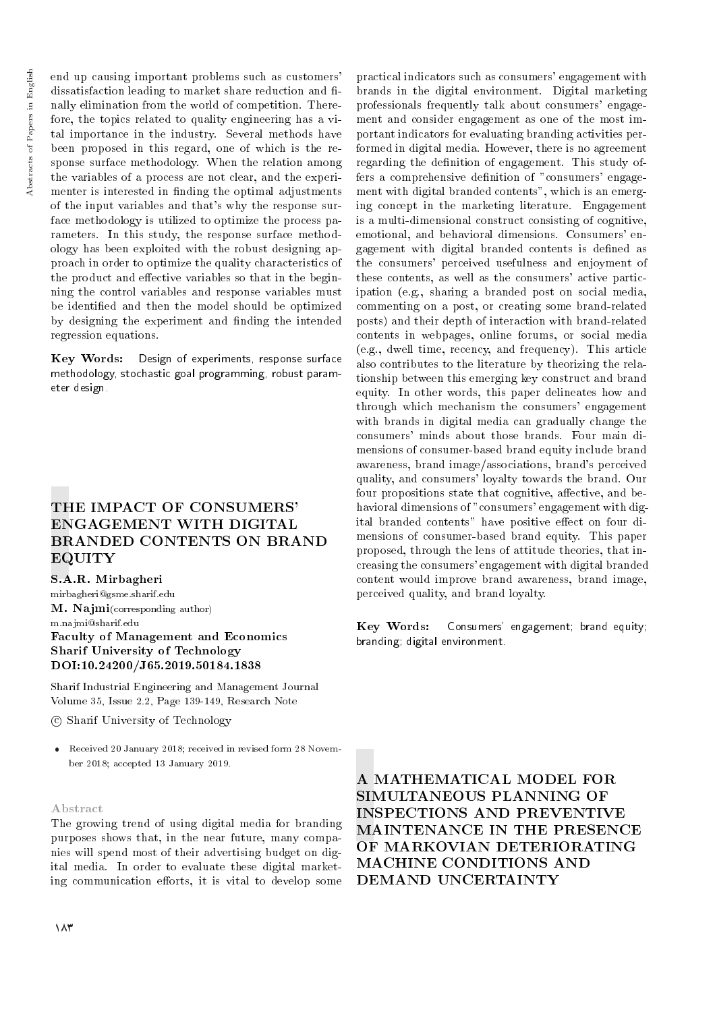end up causing important problems such as customers' dissatisfaction leading to market share reduction and finally elimination from the world of competition. Therefore, the topics related to quality engineering has a vital importance in the industry. Several methods have been proposed in this regard, one of which is the response surface methodology. When the relation among the variables of a process are not clear, and the experimenter is interested in finding the optimal adjustments of the input variables and that's why the response surface methodology is utilized to optimize the process parameters. In this study, the response surface methodology has been exploited with the robust designing approach in order to optimize the quality characteristics of the product and effective variables so that in the beginning the control variables and response variables must be identied and then the model should be optimized by designing the experiment and finding the intended regression equations.

Key Words: Design of experiments, response surface methodology, stochastic goal programming, robust parameter design.

## THE IMPACT OF CONSUMERS' ENGAGEMENT WITH DIGITAL BRANDED CONTENTS ON BRAND EQUITY

S.A.R. Mirbagheri mirbagheri@gsme.sharif.edu M. Najmi(corresponding author) m.najmi@sharif.edu Faculty of Management and Economics Sharif University of Technology DOI:10.24200/J65.2019.50184.1838

Sharif Industrial Engineering and Management Journal Volume 35, Issue 2.2, Page 139-149, Research Note

c Sharif University of Technology

 Received 20 January 2018; received in revised form 28 November 2018; accepted 13 January 2019.

#### Abstract

The growing trend of using digital media for branding purposes shows that, in the near future, many companies will spend most of their advertising budget on digital media. In order to evaluate these digital marketing communication efforts, it is vital to develop some

professionals frequently talk about consumers' engagement and consider engagement as one of the most important indicators for evaluating branding activities performed in digital media. However, there is no agreement regarding the definition of engagement. This study offers a comprehensive definition of "consumers' engagement with digital branded contents", which is an emerging concept in the marketing literature. Engagement is a multi-dimensional construct consisting of cognitive, emotional, and behavioral dimensions. Consumers' engagement with digital branded contents is dened as the consumers' perceived usefulness and enjoyment of these contents, as well as the consumers' active participation (e.g., sharing a branded post on social media, commenting on a post, or creating some brand-related posts) and their depth of interaction with brand-related contents in webpages, online forums, or social media (e.g., dwell time, recency, and frequency). This article also contributes to the literature by theorizing the relationship between this emerging key construct and brand equity. In other words, this paper delineates how and through which mechanism the consumers' engagement with brands in digital media can gradually change the consumers' minds about those brands. Four main dimensions of consumer-based brand equity include brand awareness, brand image/associations, brand's perceived quality, and consumers' loyalty towards the brand. Our four propositions state that cognitive, affective, and behavioral dimensions of "consumers' engagement with digital branded contents" have positive effect on four dimensions of consumer-based brand equity. This paper proposed, through the lens of attitude theories, that increasing the consumers' engagement with digital branded content would improve brand awareness, brand image, perceived quality, and brand loyalty. Key Words: Consumers' engagement; brand equity; branding; digital environment.

practical indicators such as consumers' engagement with brands in the digital environment. Digital marketing

A MATHEMATICAL MODEL FOR SIMULTANEOUS PLANNING OF INSPECTIONS AND PREVENTIVE MAINTENANCE IN THE PRESENCE OF MARKOVIAN DETERIORATING MACHINE CONDITIONS AND DEMAND UNCERTAINTY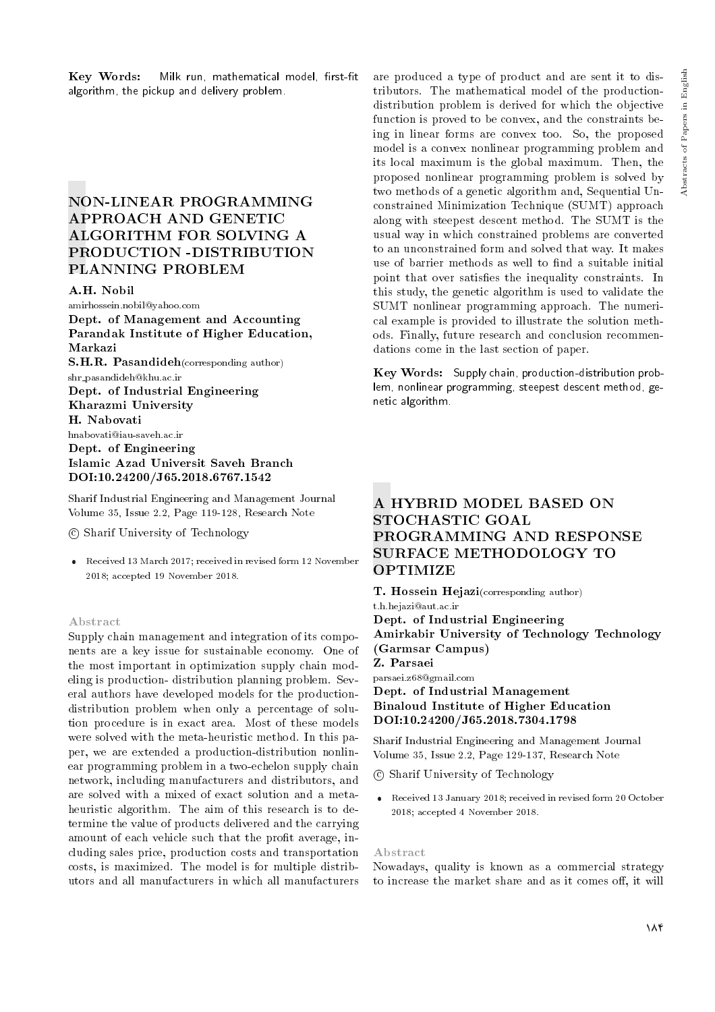## NON-LINEAR PROGRAMMING APPROACH AND GENETIC ALGORITHM FOR SOLVING A PRODUCTION -DISTRIBUTION PLANNING PROBLEM

#### A.H. Nobil

amirhossein.nobil@yahoo.com Dept. of Management and Accounting Parandak Institute of Higher Education, Markazi S.H.R. Pasandideh(corresponding author) shr pasandideh@khu.ac.ir Dept. of Industrial Engineering Kharazmi University H. Nabovati hnabovati@iau-saveh.ac.ir Dept. of Engineering Islamic Azad Universit Saveh Branch DOI:10.24200/J65.2018.6767.1542

Sharif Industrial Engineering and Management Journal Volume 35, Issue 2.2, Page 119-128, Research Note

c Sharif University of Technology

 Received 13 March 2017; received in revised form 12 November 2018; accepted 19 November 2018.

#### Abstract

Supply chain management and integration of its components are a key issue for sustainable economy. One of the most important in optimization supply chain modeling is production- distribution planning problem. Several authors have developed models for the productiondistribution problem when only a percentage of solution procedure is in exact area. Most of these models were solved with the meta-heuristic method. In this paper, we are extended a production-distribution nonlinear programming problem in a two-echelon supply chain network, including manufacturers and distributors, and are solved with a mixed of exact solution and a metaheuristic algorithm. The aim of this research is to determine the value of products delivered and the carrying amount of each vehicle such that the profit average, including sales price, production costs and transportation costs, is maximized. The model is for multiple distributors and all manufacturers in which all manufacturers are produced a type of product and are sent it to distributors. The mathematical model of the productiondistribution problem is derived for which the objective function is proved to be convex, and the constraints being in linear forms are convex too. So, the proposed model is a convex nonlinear programming problem and its local maximum is the global maximum. Then, the proposed nonlinear programming problem is solved by two methods of a genetic algorithm and, Sequential Unconstrained Minimization Technique (SUMT) approach along with steepest descent method. The SUMT is the usual way in which constrained problems are converted to an unconstrained form and solved that way. It makes use of barrier methods as well to find a suitable initial point that over satisfies the inequality constraints. In this study, the genetic algorithm is used to validate the SUMT nonlinear programming approach. The numerical example is provided to illustrate the solution methods. Finally, future research and conclusion recommendations come in the last section of paper.

Key Words: Supply chain, production-distribution problem, nonlinear programming, steepest descent method, genetic algorithm.

# A HYBRID MODEL BASED ON STOCHASTIC GOAL PROGRAMMING AND RESPONSE SURFACE METHODOLOGY TO **OPTIMIZE**

T. Hossein Hejazi(corresponding author)

t.h.hejazi@aut.ac.ir Dept. of Industrial Engineering Amirkabir University of Technology Technology (Garmsar Campus) Z. Parsaei parsaei.z68@gmail.com Dept. of Industrial Management

## Binaloud Institute of Higher Education DOI:10.24200/J65.2018.7304.1798

Sharif Industrial Engineering and Management Journal Volume 35, Issue 2.2, Page 129-137, Research Note

c Sharif University of Technology

 Received 13 January 2018; received in revised form 20 October 2018; accepted 4 November 2018.

#### Abstract

Nowadays, quality is known as a commercial strategy to increase the market share and as it comes off, it will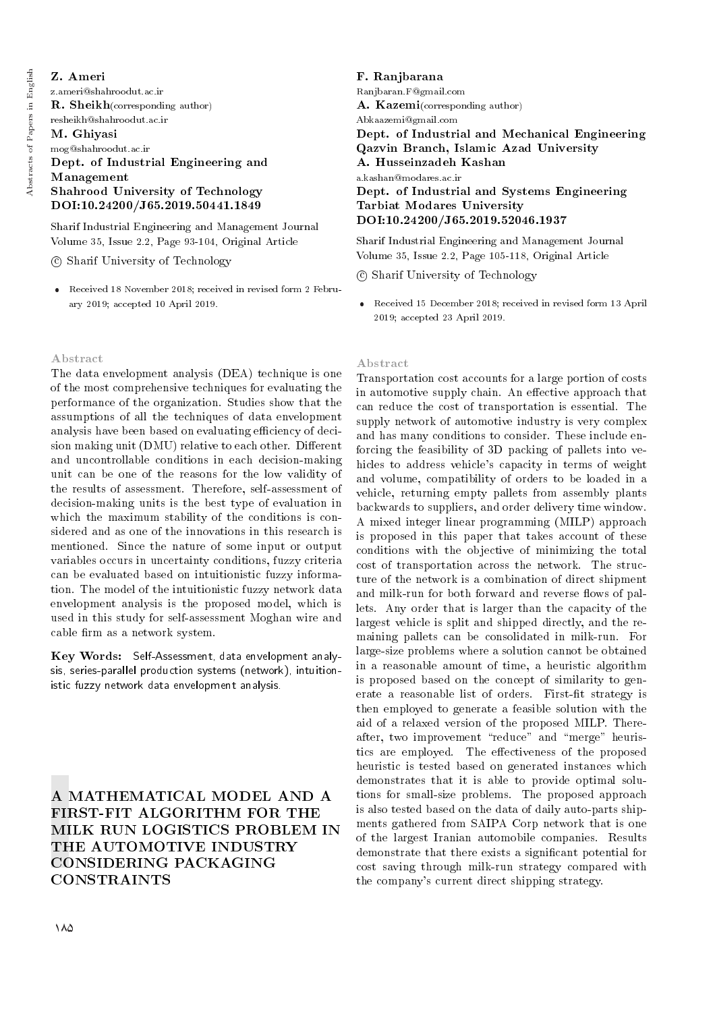## Z. Ameri

z.ameri@shahroodut.ac.ir R. Sheikh(corresponding author) resheikh@shahroodut.ac.ir M. Ghiyasi mog@shahroodut.ac.ir Dept. of Industrial Engineering and Management Shahrood University of Technology DOI:10.24200/J65.2019.50441.1849

Sharif Industrial Engineering and Management Journal Volume 35, Issue 2.2, Page 93-104, Original Article

c Sharif University of Technology

 Received 18 November 2018; received in revised form 2 February 2019; accepted 10 April 2019.

## Abstract

The data envelopment analysis (DEA) technique is one of the most comprehensive techniques for evaluating the performance of the organization. Studies show that the assumptions of all the techniques of data envelopment analysis have been based on evaluating efficiency of decision making unit (DMU) relative to each other. Different and uncontrollable conditions in each decision-making unit can be one of the reasons for the low validity of the results of assessment. Therefore, self-assessment of decision-making units is the best type of evaluation in which the maximum stability of the conditions is considered and as one of the innovations in this research is mentioned. Since the nature of some input or output variables occurs in uncertainty conditions, fuzzy criteria can be evaluated based on intuitionistic fuzzy information. The model of the intuitionistic fuzzy network data envelopment analysis is the proposed model, which is used in this study for self-assessment Moghan wire and cable firm as a network system.

Key Words: Self-Assessment, data envelopment analysis, series-parallel production systems (network), intuitionistic fuzzy network data envelopment analysis.

A MATHEMATICAL MODEL AND A FIRST-FIT ALGORITHM FOR THE MILK RUN LOGISTICS PROBLEM IN THE AUTOMOTIVE INDUSTRY CONSIDERING PACKAGING CONSTRAINTS

F. Ranjbarana Ranjbaran.F@gmail.com A. Kazemi(corresponding author) Abkaazemi@gmail.com Dept. of Industrial and Mechanical Engineering Qazvin Branch, Islamic Azad University A. Husseinzadeh Kashan a.kashan@modares.ac.ir Dept. of Industrial and Systems Engineering Tarbiat Modares University DOI:10.24200/J65.2019.52046.1937

Sharif Industrial Engineering and Management Journal Volume 35, Issue 2.2, Page 105-118, Original Article

c Sharif University of Technology

 Received 15 December 2018; received in revised form 13 April 2019; accepted 23 April 2019.

#### Abstract

Transportation cost accounts for a large portion of costs in automotive supply chain. An effective approach that can reduce the cost of transportation is essential. The supply network of automotive industry is very complex and has many conditions to consider. These include enforcing the feasibility of 3D packing of pallets into vehicles to address vehicle's capacity in terms of weight and volume, compatibility of orders to be loaded in a vehicle, returning empty pallets from assembly plants backwards to suppliers, and order delivery time window. A mixed integer linear programming (MILP) approach is proposed in this paper that takes account of these conditions with the objective of minimizing the total cost of transportation across the network. The structure of the network is a combination of direct shipment and milk-run for both forward and reverse flows of pallets. Any order that is larger than the capacity of the largest vehicle is split and shipped directly, and the remaining pallets can be consolidated in milk-run. For large-size problems where a solution cannot be obtained in a reasonable amount of time, a heuristic algorithm is proposed based on the concept of similarity to generate a reasonable list of orders. First-fit strategy is then employed to generate a feasible solution with the aid of a relaxed version of the proposed MILP. Thereafter, two improvement "reduce" and "merge" heuristics are employed. The effectiveness of the proposed heuristic is tested based on generated instances which demonstrates that it is able to provide optimal solutions for small-size problems. The proposed approach is also tested based on the data of daily auto-parts shipments gathered from SAIPA Corp network that is one of the largest Iranian automobile companies. Results demonstrate that there exists a signicant potential for cost saving through milk-run strategy compared with the company's current direct shipping strategy.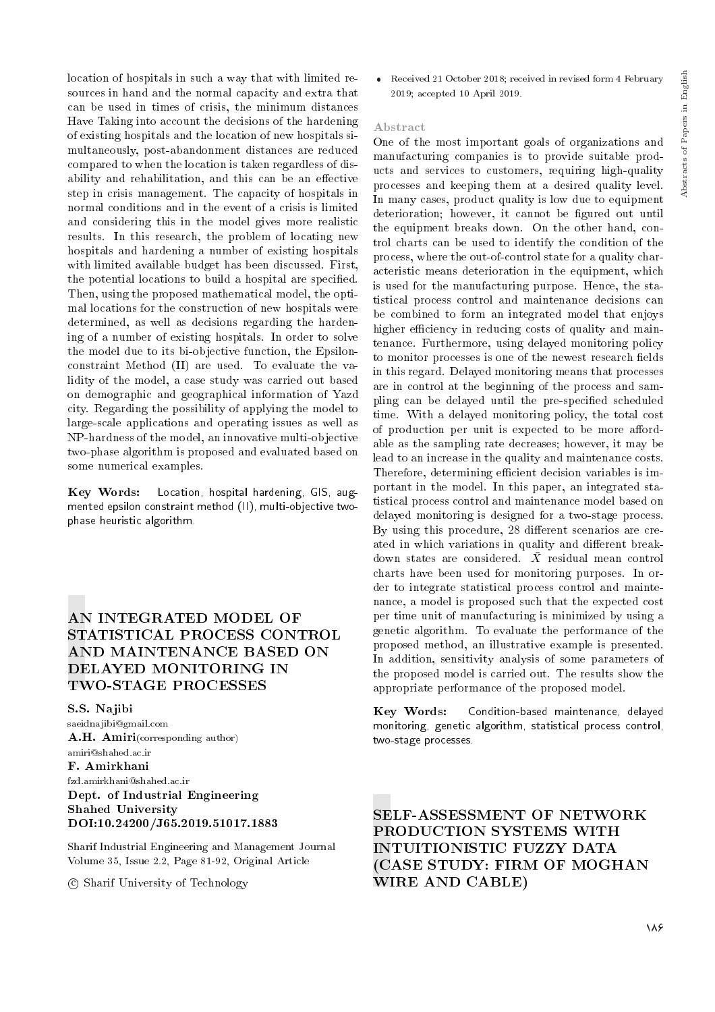location of hospitals in such a way that with limited resources in hand and the normal capacity and extra that can be used in times of crisis, the minimum distances Have Taking into account the decisions of the hardening of existing hospitals and the location of new hospitals simultaneously, post-abandonment distances are reduced compared to when the location is taken regardless of disability and rehabilitation, and this can be an effective step in crisis management. The capacity of hospitals in normal conditions and in the event of a crisis is limited and considering this in the model gives more realistic results. In this research, the problem of locating new hospitals and hardening a number of existing hospitals with limited available budget has been discussed. First, the potential locations to build a hospital are specied. Then, using the proposed mathematical model, the optimal locations for the construction of new hospitals were determined, as well as decisions regarding the hardening of a number of existing hospitals. In order to solve the model due to its bi-objective function, the Epsilonconstraint Method (II) are used. To evaluate the validity of the model, a case study was carried out based on demographic and geographical information of Yazd city. Regarding the possibility of applying the model to large-scale applications and operating issues as well as NP-hardness of the model, an innovative multi-objective two-phase algorithm is proposed and evaluated based on some numerical examples.

Key Words: Location, hospital hardening, GIS, augmented epsilon constraint method (II), multi-objective twophase heuristic algorithm.

## AN INTEGRATED MODEL OF STATISTICAL PROCESS CONTROL AND MAINTENANCE BASED ON DELAYED MONITORING IN TWO-STAGE PROCESSES

S.S. Najibi saeidnajibi@gmail.com A.H. Amiri(corresponding author) amiri@shahed.ac.ir F. Amirkhani fzd.amirkhani@shahed.ac.ir Dept. of Industrial Engineering Shahed University DOI:10.24200/J65.2019.51017.1883

Sharif Industrial Engineering and Management Journal Volume 35, Issue 2.2, Page 81-92, Original Article

c Sharif University of Technology

 Received 21 October 2018; received in revised form 4 February 2019; accepted 10 April 2019.

## Abstract

One of the most important goals of organizations and manufacturing companies is to provide suitable products and services to customers, requiring high-quality processes and keeping them at a desired quality level. In many cases, product quality is low due to equipment deterioration; however, it cannot be figured out until the equipment breaks down. On the other hand, control charts can be used to identify the condition of the process, where the out-of-control state for a quality characteristic means deterioration in the equipment, which is used for the manufacturing purpose. Hence, the statistical process control and maintenance decisions can be combined to form an integrated model that enjoys higher efficiency in reducing costs of quality and maintenance. Furthermore, using delayed monitoring policy to monitor processes is one of the newest research fields in this regard. Delayed monitoring means that processes are in control at the beginning of the process and sampling can be delayed until the pre-specied scheduled time. With a delayed monitoring policy, the total cost of production per unit is expected to be more affordable as the sampling rate decreases; however, it may be lead to an increase in the quality and maintenance costs. Therefore, determining efficient decision variables is important in the model. In this paper, an integrated statistical process control and maintenance model based on delayed monitoring is designed for a two-stage process. By using this procedure, 28 different scenarios are created in which variations in quality and different breakdown states are considered.  $\bar{X}$  residual mean control charts have been used for monitoring purposes. In order to integrate statistical process control and maintenance, a model is proposed such that the expected cost per time unit of manufacturing is minimized by using a genetic algorithm. To evaluate the performance of the proposed method, an illustrative example is presented. In addition, sensitivity analysis of some parameters of the proposed model is carried out. The results show the appropriate performance of the proposed model.

Key Words: Condition-based maintenance, delayed monitoring, genetic algorithm, statistical process control, two-stage processes.

SELF-ASSESSMENT OF NETWORK PRODUCTION SYSTEMS WITH INTUITIONISTIC FUZZY DATA (CASE STUDY: FIRM OF MOGHAN WIRE AND CABLE)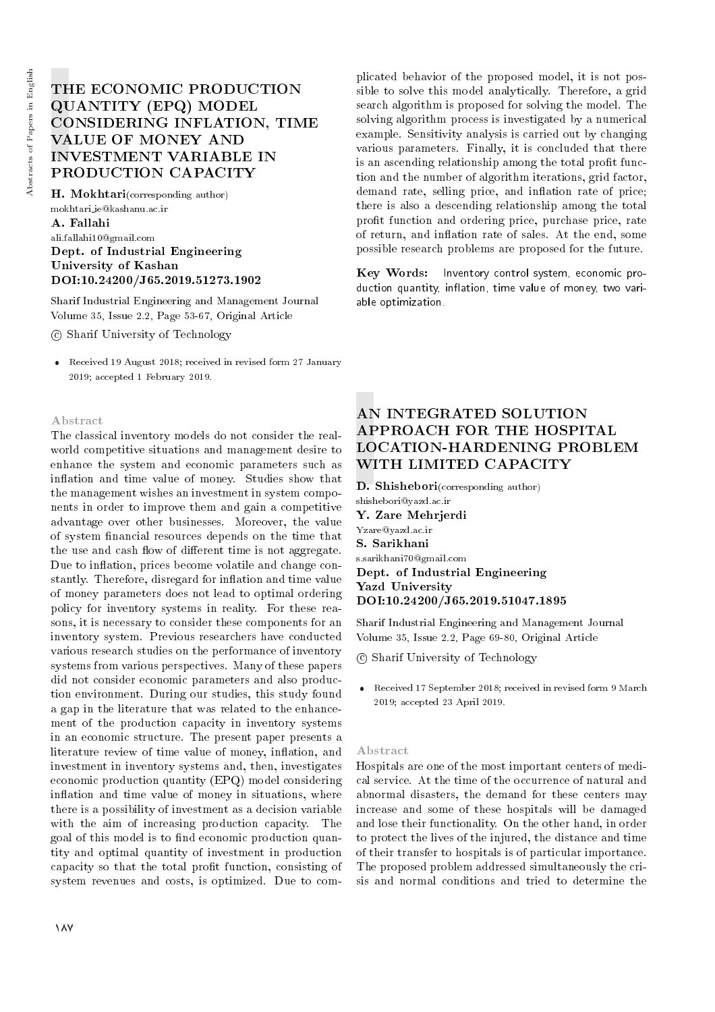# THE ECONOMIC PRODUCTION QUANTITY (EPQ) MODEL CONSIDERING INFLATION, TIME VALUE OF MONEY AND INVESTMENT VARIABLE IN PRODUCTION CAPACITY

H. Mokhtari(corresponding author) mokhtari ie@kashanu.ac.ir A. Fallahi ali.fallahi10@gmail.com Dept. of Industrial Engineering University of Kashan DOI:10.24200/J65.2019.51273.1902

Sharif Industrial Engineering and Management Journal Volume 35, Issue 2.2, Page 53-67, Original Article

c Sharif University of Technology

 Received 19 August 2018; received in revised form 27 January 2019; accepted 1 February 2019.

## Abstract

The classical inventory models do not consider the realworld competitive situations and management desire to enhance the system and economic parameters such as inflation and time value of money. Studies show that the management wishes an investment in system components in order to improve them and gain a competitive advantage over other businesses. Moreover, the value of system nancial resources depends on the time that the use and cash flow of different time is not aggregate. Due to inflation, prices become volatile and change constantly. Therefore, disregard for inflation and time value of money parameters does not lead to optimal ordering policy for inventory systems in reality. For these reasons, it is necessary to consider these components for an inventory system. Previous researchers have conducted various research studies on the performance of inventory systems from various perspectives. Many of these papers did not consider economic parameters and also production environment. During our studies, this study found a gap in the literature that was related to the enhancement of the production capacity in inventory systems in an economic structure. The present paper presents a literature review of time value of money, inflation, and investment in inventory systems and, then, investigates economic production quantity (EPQ) model considering inflation and time value of money in situations, where there is a possibility of investment as a decision variable with the aim of increasing production capacity. The goal of this model is to find economic production quantity and optimal quantity of investment in production capacity so that the total prot function, consisting of system revenues and costs, is optimized. Due to com-

plicated behavior of the proposed model, it is not possible to solve this model analytically. Therefore, a grid search algorithm is proposed for solving the model. The solving algorithm process is investigated by a numerical example. Sensitivity analysis is carried out by changing various parameters. Finally, it is concluded that there is an ascending relationship among the total profit function and the number of algorithm iterations, grid factor, demand rate, selling price, and inflation rate of price; there is also a descending relationship among the total profit function and ordering price, purchase price, rate of return, and inflation rate of sales. At the end, some possible research problems are proposed for the future.

Key Words: Inventory control system, economic production quantity, inflation, time value of money, two variable optimization.

# AN INTEGRATED SOLUTION APPROACH FOR THE HOSPITAL LOCATION-HARDENING PROBLEM WITH LIMITED CAPACITY

D. Shishebori(corresponding author)

shishebori@yazd.ac.ir Y. Zare Mehrjerdi Yzare@yazd.ac.ir S. Sarikhani

s.sarikhani70@gmail.com Dept. of Industrial Engineering Yazd University DOI:10.24200/J65.2019.51047.1895

Sharif Industrial Engineering and Management Journal Volume 35, Issue 2.2, Page 69-80, Original Article

c Sharif University of Technology

 Received 17 September 2018; received in revised form 9 March 2019; accepted 23 April 2019.

#### Abstract

Hospitals are one of the most important centers of medical service. At the time of the occurrence of natural and abnormal disasters, the demand for these centers may increase and some of these hospitals will be damaged and lose their functionality. On the other hand, in order to protect the lives of the injured, the distance and time of their transfer to hospitals is of particular importance. The proposed problem addressed simultaneously the crisis and normal conditions and tried to determine the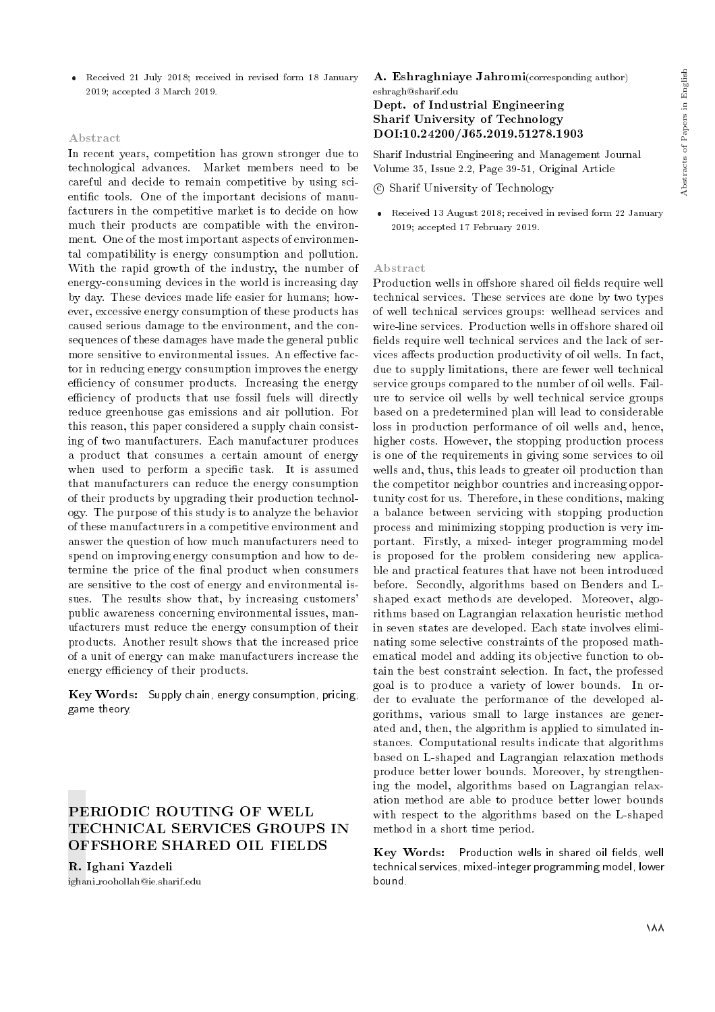Received 21 July 2018; received in revised form 18 January 2019; accepted 3 March 2019.

#### Abstract

In recent years, competition has grown stronger due to technological advances. Market members need to be careful and decide to remain competitive by using scientic tools. One of the important decisions of manufacturers in the competitive market is to decide on how much their products are compatible with the environment. One of the most important aspects of environmental compatibility is energy consumption and pollution. With the rapid growth of the industry, the number of energy-consuming devices in the world is increasing day by day. These devices made life easier for humans; however, excessive energy consumption of these products has caused serious damage to the environment, and the consequences of these damages have made the general public more sensitive to environmental issues. An effective factor in reducing energy consumption improves the energy efficiency of consumer products. Increasing the energy efficiency of products that use fossil fuels will directly reduce greenhouse gas emissions and air pollution. For this reason, this paper considered a supply chain consisting of two manufacturers. Each manufacturer produces a product that consumes a certain amount of energy when used to perform a specific task. It is assumed that manufacturers can reduce the energy consumption of their products by upgrading their production technology. The purpose of this study is to analyze the behavior of these manufacturers in a competitive environment and answer the question of how much manufacturers need to spend on improving energy consumption and how to determine the price of the final product when consumers are sensitive to the cost of energy and environmental issues. The results show that, by increasing customers' public awareness concerning environmental issues, manufacturers must reduce the energy consumption of their products. Another result shows that the increased price of a unit of energy can make manufacturers increase the energy efficiency of their products.

 $Key Words:$  Supply chain, energy consumption, pricing, game theory.

## PERIODIC ROUTING OF WELL TECHNICAL SERVICES GROUPS IN OFFSHORE SHARED OIL FIELDS

R. Ighani Yazdeli ighani roohollah@ie.sharif.edu A. Eshraghniaye Jahromi(corresponding author) eshragh@sharif.edu Dept. of Industrial Engineering Sharif University of Technology

# DOI:10.24200/J65.2019.51278.1903

Sharif Industrial Engineering and Management Journal Volume 35, Issue 2.2, Page 39-51, Original Article

c Sharif University of Technology

 Received 13 August 2018; received in revised form 22 January 2019; accepted 17 February 2019.

#### Abstract

Production wells in offshore shared oil fields require well technical services. These services are done by two types of well technical services groups: wellhead services and wire-line services. Production wells in offshore shared oil fields require well technical services and the lack of services affects production productivity of oil wells. In fact, due to supply limitations, there are fewer well technical service groups compared to the number of oil wells. Failure to service oil wells by well technical service groups based on a predetermined plan will lead to considerable loss in production performance of oil wells and, hence, higher costs. However, the stopping production process is one of the requirements in giving some services to oil wells and, thus, this leads to greater oil production than the competitor neighbor countries and increasing opportunity cost for us. Therefore, in these conditions, making a balance between servicing with stopping production process and minimizing stopping production is very important. Firstly, a mixed- integer programming model is proposed for the problem considering new applicable and practical features that have not been introduced before. Secondly, algorithms based on Benders and Lshaped exact methods are developed. Moreover, algorithms based on Lagrangian relaxation heuristic method in seven states are developed. Each state involves eliminating some selective constraints of the proposed mathematical model and adding its objective function to obtain the best constraint selection. In fact, the professed goal is to produce a variety of lower bounds. In order to evaluate the performance of the developed algorithms, various small to large instances are generated and, then, the algorithm is applied to simulated instances. Computational results indicate that algorithms based on L-shaped and Lagrangian relaxation methods produce better lower bounds. Moreover, by strengthening the model, algorithms based on Lagrangian relaxation method are able to produce better lower bounds with respect to the algorithms based on the L-shaped method in a short time period.

Key Words: Production wells in shared oil fields, well technical services, mixed-integer programming model, lower bound.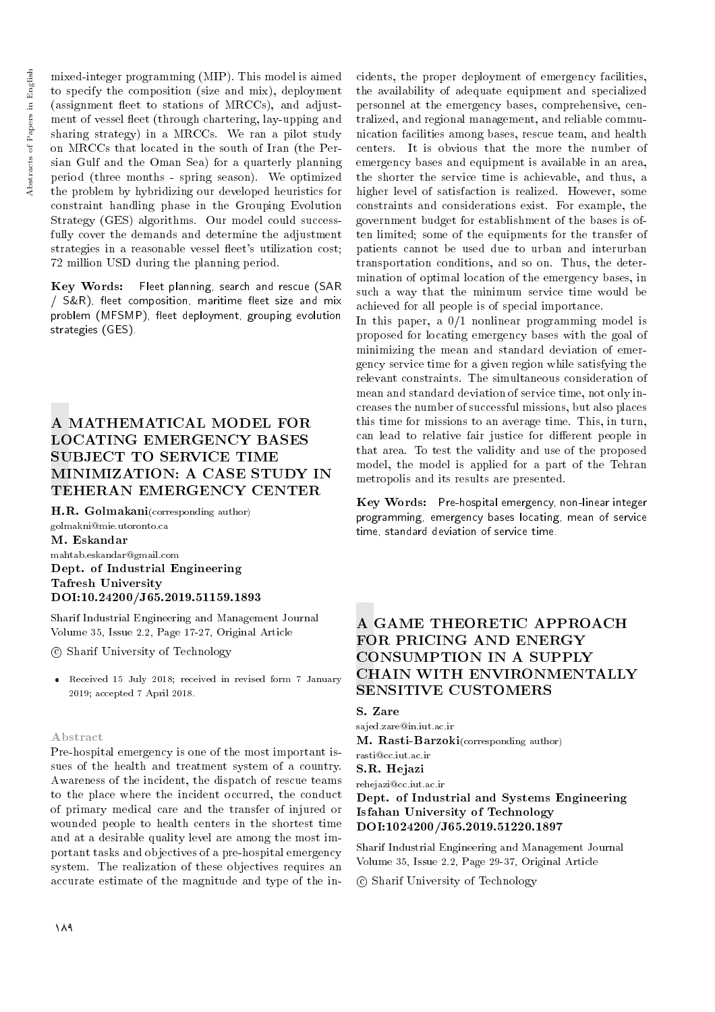mixed-integer programming (MIP). This model is aimed to specify the composition (size and mix), deployment (assignment fleet to stations of MRCCs), and adjustment of vessel fleet (through chartering, lay-upping and sharing strategy) in a MRCCs. We ran a pilot study on MRCCs that located in the south of Iran (the Persian Gulf and the Oman Sea) for a quarterly planning period (three months - spring season). We optimized the problem by hybridizing our developed heuristics for constraint handling phase in the Grouping Evolution Strategy (GES) algorithms. Our model could successfully cover the demands and determine the adjustment strategies in a reasonable vessel fleet's utilization cost; 72 million USD during the planning period.

Key Words: Fleet planning, search and rescue (SAR / S&R), fleet composition, maritime fleet size and mix problem (MFSMP), fleet deployment, grouping evolution strategies (GES).

# A MATHEMATICAL MODEL FOR LOCATING EMERGENCY BASES SUBJECT TO SERVICE TIME MINIMIZATION: A CASE STUDY IN TEHERAN EMERGENCY CENTER

H.R. Golmakani(corresponding author) golmakni@mie.utoronto.ca M. Eskandar mahtab.eskandar@gmail.com Dept. of Industrial Engineering Tafresh University DOI:10.24200/J65.2019.51159.1893

Sharif Industrial Engineering and Management Journal Volume 35, Issue 2.2, Page 17-27, Original Article

c Sharif University of Technology

 Received 15 July 2018; received in revised form 7 January 2019; accepted 7 April 2018.

## Abstract

Pre-hospital emergency is one of the most important issues of the health and treatment system of a country. Awareness of the incident, the dispatch of rescue teams to the place where the incident occurred, the conduct of primary medical care and the transfer of injured or wounded people to health centers in the shortest time and at a desirable quality level are among the most important tasks and objectives of a pre-hospital emergency system. The realization of these objectives requires an accurate estimate of the magnitude and type of the incidents, the proper deployment of emergency facilities, the availability of adequate equipment and specialized personnel at the emergency bases, comprehensive, centralized, and regional management, and reliable communication facilities among bases, rescue team, and health centers. It is obvious that the more the number of emergency bases and equipment is available in an area, the shorter the service time is achievable, and thus, a higher level of satisfaction is realized. However, some constraints and considerations exist. For example, the government budget for establishment of the bases is often limited; some of the equipments for the transfer of patients cannot be used due to urban and interurban transportation conditions, and so on. Thus, the determination of optimal location of the emergency bases, in such a way that the minimum service time would be achieved for all people is of special importance.

In this paper, a 0/1 nonlinear programming model is proposed for locating emergency bases with the goal of minimizing the mean and standard deviation of emergency service time for a given region while satisfying the relevant constraints. The simultaneous consideration of mean and standard deviation of service time, not only increases the number of successful missions, but also places this time for missions to an average time. This, in turn, can lead to relative fair justice for different people in that area. To test the validity and use of the proposed model, the model is applied for a part of the Tehran metropolis and its results are presented.

Key Words: Pre-hospital emergency, non-linear integer programming, emergency bases locating, mean of service time, standard deviation of service time.

## A GAME THEORETIC APPROACH FOR PRICING AND ENERGY CONSUMPTION IN A SUPPLY CHAIN WITH ENVIRONMENTALLY SENSITIVE CUSTOMERS

## S. Zare

sajed.zare@in.iut.ac.ir M. Rasti-Barzoki(corresponding author)

#### rasti@cc.iut.ac.ir S.R. Hejazi

rehejazi@cc.iut.ac.ir

## Dept. of Industrial and Systems Engineering Isfahan University of Technology DOI:1024200/J65.2019.51220.1897

Sharif Industrial Engineering and Management Journal Volume 35, Issue 2.2, Page 29-37, Original Article

c Sharif University of Technology